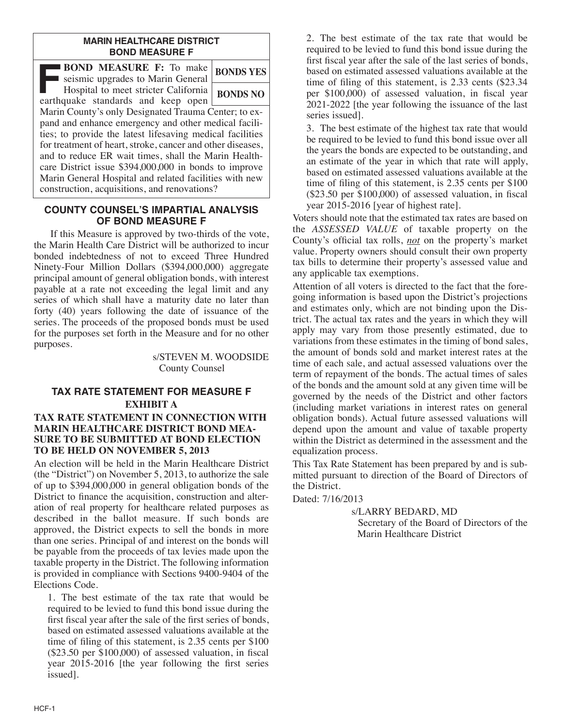#### **MARIN HEALTHCARE DISTRICT BOND MEASURE F**

| <b>BOND MEASURE F:</b> To make<br>seismic upgrades to Marin General                                                                                                                                                                                                                                                                                                                                                                                                | <b>BONDS YES</b> |
|--------------------------------------------------------------------------------------------------------------------------------------------------------------------------------------------------------------------------------------------------------------------------------------------------------------------------------------------------------------------------------------------------------------------------------------------------------------------|------------------|
| Hospital to meet stricter California<br>earthquake standards and keep open                                                                                                                                                                                                                                                                                                                                                                                         | <b>BONDS NO</b>  |
| Marin County's only Designated Trauma Center; to ex-<br>pand and enhance emergency and other medical facili-<br>ties; to provide the latest lifesaving medical facilities<br>for treatment of heart, stroke, cancer and other diseases,<br>and to reduce ER wait times, shall the Marin Health-<br>care District issue \$394,000,000 in bonds to improve<br>Marin General Hospital and related facilities with new<br>construction, acquisitions, and renovations? |                  |

# **COUNTY COUNSEL'S IMPARTIAL ANALYSIS OF BOND MEASURE F**

 If this Measure is approved by two-thirds of the vote, the Marin Health Care District will be authorized to incur bonded indebtedness of not to exceed Three Hundred Ninety-Four Million Dollars (\$394,000,000) aggregate principal amount of general obligation bonds, with interest payable at a rate not exceeding the legal limit and any series of which shall have a maturity date no later than forty (40) years following the date of issuance of the series. The proceeds of the proposed bonds must be used for the purposes set forth in the Measure and for no other purposes.

> s/STEVEN M. WOODSIDE County Counsel

#### **TAX RATE STATEMENT FOR MEASURE F EXHIBIT A TAX RATE STATEMENT IN CONNECTION WITH MARIN HEALTHCARE DISTRICT BOND MEA-SURE TO BE SUBMITTED AT BOND ELECTION TO BE HELD ON NOVEMBER 5, 2013**

An election will be held in the Marin Healthcare District (the "District") on November 5, 2013, to authorize the sale of up to \$394,000,000 in general obligation bonds of the District to finance the acquisition, construction and alteration of real property for healthcare related purposes as described in the ballot measure. If such bonds are approved, the District expects to sell the bonds in more than one series. Principal of and interest on the bonds will be payable from the proceeds of tax levies made upon the taxable property in the District. The following information is provided in compliance with Sections 9400-9404 of the Elections Code.

 1. The best estimate of the tax rate that would be required to be levied to fund this bond issue during the first fiscal year after the sale of the first series of bonds, based on estimated assessed valuations available at the time of filing of this statement, is 2.35 cents per \$100 (\$23.50 per \$100,000) of assessed valuation, in fiscal year 2015-2016 [the year following the first series issued].

 2. The best estimate of the tax rate that would be required to be levied to fund this bond issue during the first fiscal year after the sale of the last series of bonds, based on estimated assessed valuations available at the time of filing of this statement, is 2.33 cents (\$23.34 per \$100,000) of assessed valuation, in fiscal year 2021-2022 [the year following the issuance of the last series issued].

 3. The best estimate of the highest tax rate that would be required to be levied to fund this bond issue over all the years the bonds are expected to be outstanding, and an estimate of the year in which that rate will apply, based on estimated assessed valuations available at the time of filing of this statement, is 2.35 cents per \$100 (\$23.50 per \$100,000) of assessed valuation, in fiscal year 2015-2016 [year of highest rate].

Voters should note that the estimated tax rates are based on the *ASSESSED VALUE* of taxable property on the County's official tax rolls, *not* on the property's market value. Property owners should consult their own property tax bills to determine their property's assessed value and any applicable tax exemptions.

Attention of all voters is directed to the fact that the foregoing information is based upon the District's projections and estimates only, which are not binding upon the District. The actual tax rates and the years in which they will apply may vary from those presently estimated, due to variations from these estimates in the timing of bond sales, the amount of bonds sold and market interest rates at the time of each sale, and actual assessed valuations over the term of repayment of the bonds. The actual times of sales of the bonds and the amount sold at any given time will be governed by the needs of the District and other factors (including market variations in interest rates on general obligation bonds). Actual future assessed valuations will depend upon the amount and value of taxable property within the District as determined in the assessment and the equalization process.

This Tax Rate Statement has been prepared by and is submitted pursuant to direction of the Board of Directors of the District.

Dated: 7/16/2013

s/LARRY BEDARD, MD Secretary of the Board of Directors of the Marin Healthcare District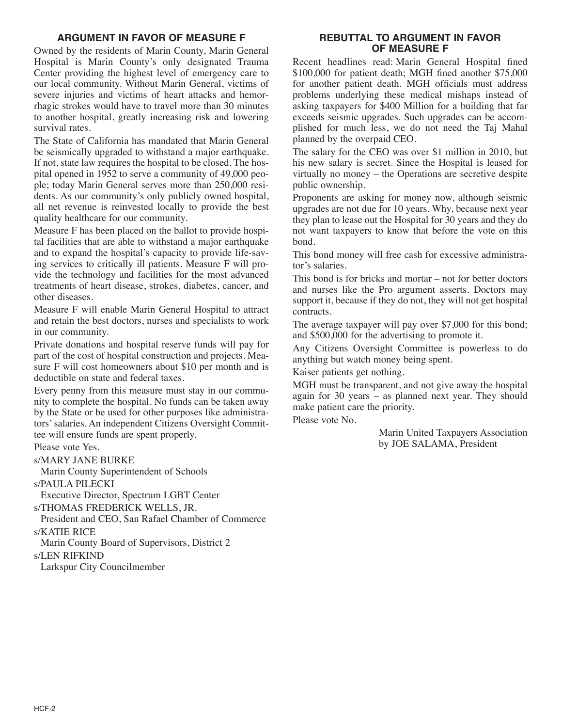# **ARGUMENT IN FAVOR OF MEASURE F**

Owned by the residents of Marin County, Marin General Hospital is Marin County's only designated Trauma Center providing the highest level of emergency care to our local community. Without Marin General, victims of severe injuries and victims of heart attacks and hemorrhagic strokes would have to travel more than 30 minutes to another hospital, greatly increasing risk and lowering survival rates.

The State of California has mandated that Marin General be seismically upgraded to withstand a major earthquake. If not, state law requires the hospital to be closed. The hospital opened in 1952 to serve a community of 49,000 people; today Marin General serves more than 250,000 residents. As our community's only publicly owned hospital, all net revenue is reinvested locally to provide the best quality healthcare for our community.

Measure F has been placed on the ballot to provide hospital facilities that are able to withstand a major earthquake and to expand the hospital's capacity to provide life-saving services to critically ill patients. Measure F will provide the technology and facilities for the most advanced treatments of heart disease, strokes, diabetes, cancer, and other diseases.

Measure F will enable Marin General Hospital to attract and retain the best doctors, nurses and specialists to work in our community.

Private donations and hospital reserve funds will pay for part of the cost of hospital construction and projects. Measure F will cost homeowners about \$10 per month and is deductible on state and federal taxes.

Every penny from this measure must stay in our community to complete the hospital. No funds can be taken away by the State or be used for other purposes like administrators'salaries. An independent Citizens Oversight Committee will ensure funds are spent properly.

Please vote Yes.

s/MARY JANE BURKE

Marin County Superintendent of Schools

s/PAULA PILECKI

Executive Director, Spectrum LGBT Center

s/THOMAS FREDERICK WELLS, JR.

President and CEO, San Rafael Chamber of Commerce s/KATIE RICE

Marin County Board of Supervisors, District 2

#### s/LEN RIFKIND

Larkspur City Councilmember

## **REBUTTAL TO ARGUMENT IN FAVOR OF MEASURE F**

Recent headlines read: Marin General Hospital fined \$100,000 for patient death; MGH fined another \$75,000 for another patient death. MGH officials must address problems underlying these medical mishaps instead of asking taxpayers for \$400 Million for a building that far exceeds seismic upgrades. Such upgrades can be accomplished for much less, we do not need the Taj Mahal planned by the overpaid CEO.

The salary for the CEO was over \$1 million in 2010, but his new salary is secret. Since the Hospital is leased for virtually no money – the Operations are secretive despite public ownership.

Proponents are asking for money now, although seismic upgrades are not due for 10 years. Why, because next year they plan to lease out the Hospital for 30 years and they do not want taxpayers to know that before the vote on this bond.

This bond money will free cash for excessive administrator's salaries.

This bond is for bricks and mortar – not for better doctors and nurses like the Pro argument asserts. Doctors may support it, because if they do not, they will not get hospital contracts.

The average taxpayer will pay over \$7,000 for this bond; and \$500,000 for the advertising to promote it.

Any Citizens Oversight Committee is powerless to do anything but watch money being spent.

Kaiser patients get nothing.

MGH must be transparent, and not give away the hospital again for 30 years – as planned next year. They should make patient care the priority.

Please vote No.

Marin United Taxpayers Association by JOE SALAMA, President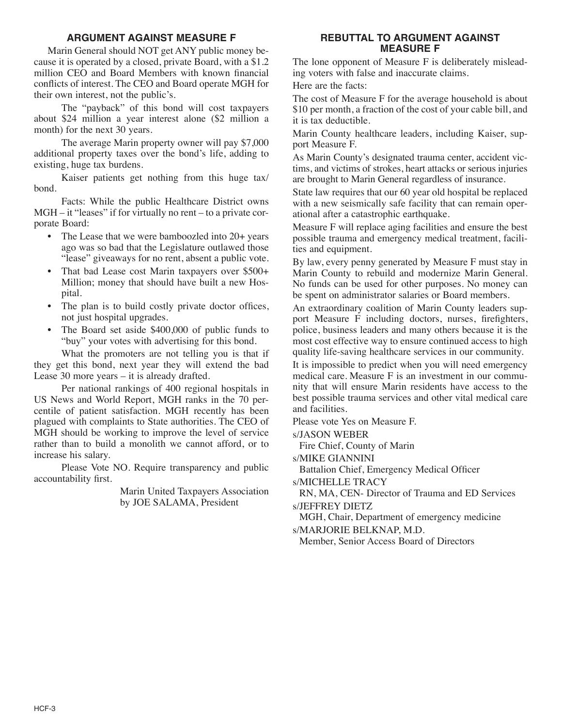## **ARGUMENT AGAINST MEASURE F**

 Marin General should NOT get ANY public money because it is operated by a closed, private Board, with a \$1.2 million CEO and Board Members with known financial conflicts of interest. The CEO and Board operate MGH for their own interest, not the public's.

 The "payback" of this bond will cost taxpayers about \$24 million a year interest alone (\$2 million a month) for the next 30 years.

 The average Marin property owner will pay \$7,000 additional property taxes over the bond's life, adding to existing, huge tax burdens.

 Kaiser patients get nothing from this huge tax/ bond.

 Facts: While the public Healthcare District owns  $MGH - it$  "leases" if for virtually no rent – to a private corporate Board:

- The Lease that we were bamboozled into 20+ years ago was so bad that the Legislature outlawed those "lease" giveaways for no rent, absent a public vote.
- That bad Lease cost Marin taxpayers over \$500+ Million; money that should have built a new Hospital.
- The plan is to build costly private doctor offices, not just hospital upgrades.
- The Board set aside \$400,000 of public funds to "buy" your votes with advertising for this bond.

 What the promoters are not telling you is that if they get this bond, next year they will extend the bad Lease 30 more years – it is already drafted.

 Per national rankings of 400 regional hospitals in US News and World Report, MGH ranks in the 70 percentile of patient satisfaction. MGH recently has been plagued with complaints to State authorities. The CEO of MGH should be working to improve the level of service rather than to build a monolith we cannot afford, or to increase his salary.

 Please Vote NO. Require transparency and public accountability first.

> Marin United Taxpayers Association by JOE SALAMA, President

# **REBUTTAL TO ARGUMENT AGAINST MEASURE F**

The lone opponent of Measure F is deliberately misleading voters with false and inaccurate claims.

Here are the facts:

The cost of Measure F for the average household is about \$10 per month, a fraction of the cost of your cable bill, and it is tax deductible.

Marin County healthcare leaders, including Kaiser, support Measure F.

As Marin County's designated trauma center, accident victims, and victims of strokes, heart attacks or serious injuries are brought to Marin General regardless of insurance.

State law requires that our 60 year old hospital be replaced with a new seismically safe facility that can remain operational after a catastrophic earthquake.

Measure F will replace aging facilities and ensure the best possible trauma and emergency medical treatment, facilities and equipment.

By law, every penny generated by Measure F must stay in Marin County to rebuild and modernize Marin General. No funds can be used for other purposes. No money can be spent on administrator salaries or Board members.

An extraordinary coalition of Marin County leaders support Measure F including doctors, nurses, firefighters, police, business leaders and many others because it is the most cost effective way to ensure continued access to high quality life-saving healthcare services in our community.

It is impossible to predict when you will need emergency medical care. Measure F is an investment in our community that will ensure Marin residents have access to the best possible trauma services and other vital medical care and facilities.

Please vote Yes on Measure F.

s/JASON WEBER

Fire Chief, County of Marin

s/MIKE GIANNINI

Battalion Chief, Emergency Medical Officer

s/MICHELLE TRACY

RN, MA, CEN- Director of Trauma and ED Services s/JEFFREY DIETZ

MGH, Chair, Department of emergency medicine s/MARJORIE BELKNAP, M.D.

Member, Senior Access Board of Directors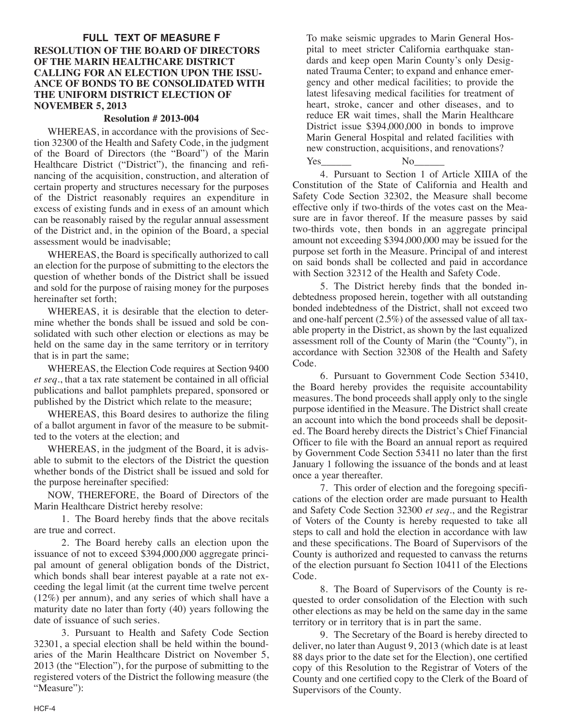## **FULL TEXT OF MEASURE F RESOLUTION OF THE BOARD OF DIRECTORS OF THE MARIN HEALTHCARE DISTRICT CALLING FOR AN ELECTION UPON THE ISSU-ANCE OF BONDS TO BE CONSOLIDATED WITH THE UNIFORM DISTRICT ELECTION OF NOVEMBER 5, 2013**

#### **Resolution # 2013-004**

 WHEREAS, in accordance with the provisions of Section 32300 of the Health and Safety Code, in the judgment of the Board of Directors (the "Board") of the Marin Healthcare District ("District"), the financing and refinancing of the acquisition, construction, and alteration of certain property and structures necessary for the purposes of the District reasonably requires an expenditure in excess of existing funds and in exess of an amount which can be reasonably raised by the regular annual assessment of the District and, in the opinion of the Board, a special assessment would be inadvisable;

 WHEREAS, the Board is specifically authorized to call an election for the purpose of submitting to the electors the question of whether bonds of the District shall be issued and sold for the purpose of raising money for the purposes hereinafter set forth;

 WHEREAS, it is desirable that the election to determine whether the bonds shall be issued and sold be consolidated with such other election or elections as may be held on the same day in the same territory or in territory that is in part the same;

 WHEREAS, the Election Code requires at Section 9400 *et seq*., that a tax rate statement be contained in all official publications and ballot pamphlets prepared, sponsored or published by the District which relate to the measure;

 WHEREAS, this Board desires to authorize the filing of a ballot argument in favor of the measure to be submitted to the voters at the election; and

 WHEREAS, in the judgment of the Board, it is advisable to submit to the electors of the District the question whether bonds of the District shall be issued and sold for the purpose hereinafter specified:

 NOW, THEREFORE, the Board of Directors of the Marin Healthcare District hereby resolve:

 1. The Board hereby finds that the above recitals are true and correct.

 2. The Board hereby calls an election upon the issuance of not to exceed \$394,000,000 aggregate principal amount of general obligation bonds of the District, which bonds shall bear interest payable at a rate not exceeding the legal limit (at the current time twelve percent (12%) per annum), and any series of which shall have a maturity date no later than forty (40) years following the date of issuance of such series.

 3. Pursuant to Health and Safety Code Section 32301, a special election shall be held within the boundaries of the Marin Healthcare District on November 5, 2013 (the "Election"), for the purpose of submitting to the registered voters of the District the following measure (the "Measure"):

To make seismic upgrades to Marin General Hospital to meet stricter California earthquake standards and keep open Marin County's only Designated Trauma Center; to expand and enhance emergency and other medical facilities; to provide the latest lifesaving medical facilities for treatment of heart, stroke, cancer and other diseases, and to reduce ER wait times, shall the Marin Healthcare District issue \$394,000,000 in bonds to improve Marin General Hospital and related facilities with new construction, acquisitions, and renovations?

Yes\_\_\_\_\_\_ No\_\_\_\_\_\_ 4. Pursuant to Section 1 of Article XIIIA of the Constitution of the State of California and Health and Safety Code Section 32302, the Measure shall become effective only if two-thirds of the votes cast on the Measure are in favor thereof. If the measure passes by said two-thirds vote, then bonds in an aggregate principal amount not exceeding \$394,000,000 may be issued for the purpose set forth in the Measure. Principal of and interest on said bonds shall be collected and paid in accordance with Section 32312 of the Health and Safety Code.

 5. The District hereby finds that the bonded indebtedness proposed herein, together with all outstanding bonded indebtedness of the District, shall not exceed two and one-half percent (2.5%) of the assessed value of all taxable property in the District, as shown by the last equalized assessment roll of the County of Marin (the "County"), in accordance with Section 32308 of the Health and Safety Code.

 6. Pursuant to Government Code Section 53410, the Board hereby provides the requisite accountability measures. The bond proceeds shall apply only to the single purpose identified in the Measure. The District shall create an account into which the bond proceeds shall be deposited. The Board hereby directs the District's Chief Financial Officer to file with the Board an annual report as required by Government Code Section 53411 no later than the first January 1 following the issuance of the bonds and at least once a year thereafter.

 7. This order of election and the foregoing specifications of the election order are made pursuant to Health and Safety Code Section 32300 *et seq*., and the Registrar of Voters of the County is hereby requested to take all steps to call and hold the election in accordance with law and these specifications. The Board of Supervisors of the County is authorized and requested to canvass the returns of the election pursuant fo Section 10411 of the Elections Code.

 8. The Board of Supervisors of the County is requested to order consolidation of the Election with such other elections as may be held on the same day in the same territory or in territory that is in part the same.

 9. The Secretary of the Board is hereby directed to deliver, no later than August 9, 2013 (which date is at least 88 days prior to the date set for the Election), one certified copy of this Resolution to the Registrar of Voters of the County and one certified copy to the Clerk of the Board of Supervisors of the County.